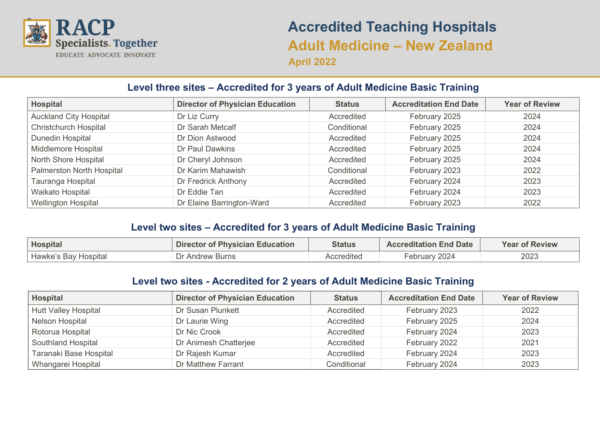

# **Accredited Teaching Hospitals Adult Medicine – New Zealand April 2022**

## **Level three sites – Accredited for 3 years of Adult Medicine Basic Training**

| <b>Hospital</b>               | <b>Director of Physician Education</b> | <b>Status</b> | <b>Accreditation End Date</b> | <b>Year of Review</b> |
|-------------------------------|----------------------------------------|---------------|-------------------------------|-----------------------|
| <b>Auckland City Hospital</b> | Dr Liz Curry                           | Accredited    | February 2025                 | 2024                  |
| <b>Christchurch Hospital</b>  | Dr Sarah Metcalf                       | Conditional   | February 2025                 | 2024                  |
| Dunedin Hospital              | Dr Dion Astwood                        | Accredited    | February 2025                 | 2024                  |
| Middlemore Hospital           | Dr Paul Dawkins                        | Accredited    | February 2025                 | 2024                  |
| North Shore Hospital          | Dr Cheryl Johnson                      | Accredited    | February 2025                 | 2024                  |
| Palmerston North Hospital     | Dr Karim Mahawish                      | Conditional   | February 2023                 | 2022                  |
| Tauranga Hospital             | Dr Fredrick Anthony                    | Accredited    | February 2024                 | 2023                  |
| Waikato Hospital              | Dr Eddie Tan                           | Accredited    | February 2024                 | 2023                  |
| <b>Wellington Hospital</b>    | Dr Elaine Barrington-Ward              | Accredited    | February 2023                 | 2022                  |

### **Level two sites – Accredited for 3 years of Adult Medicine Basic Training**

| Hospital             | <b>Director of Physician Education</b> | Status     | <b>Accreditation End Date</b> | <b>Year of Review</b> |
|----------------------|----------------------------------------|------------|-------------------------------|-----------------------|
| Hawke's Bay Hospital | Dr Andrew Burns                        | Accredited | February 2024                 | 2023                  |

#### **Level two sites - Accredited for 2 years of Adult Medicine Basic Training**

| <b>Hospital</b>             | <b>Director of Physician Education</b> | <b>Status</b> | <b>Accreditation End Date</b> | <b>Year of Review</b> |
|-----------------------------|----------------------------------------|---------------|-------------------------------|-----------------------|
| <b>Hutt Valley Hospital</b> | Dr Susan Plunkett                      | Accredited    | February 2023                 | 2022                  |
| Nelson Hospital             | Dr Laurie Wing                         | Accredited    | February 2025                 | 2024                  |
| Rotorua Hospital            | Dr Nic Crook                           | Accredited    | February 2024                 | 2023                  |
| Southland Hospital          | Dr Animesh Chatterjee                  | Accredited    | February 2022                 | 2021                  |
| Taranaki Base Hospital      | Dr Rajesh Kumar                        | Accredited    | February 2024                 | 2023                  |
| Whangarei Hospital          | Dr Matthew Farrant                     | Conditional   | February 2024                 | 2023                  |